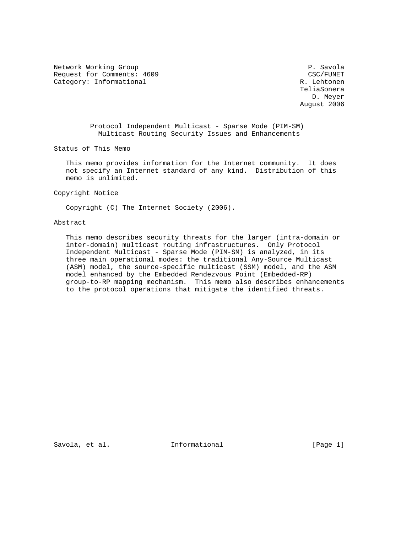Network Working Group **P.** Savola Request for Comments: 4609 CSC/FUNET Category: Informational R. Lehtonen

 TeliaSonera D. Meyer August 2006

 Protocol Independent Multicast - Sparse Mode (PIM-SM) Multicast Routing Security Issues and Enhancements

Status of This Memo

 This memo provides information for the Internet community. It does not specify an Internet standard of any kind. Distribution of this memo is unlimited.

Copyright Notice

Copyright (C) The Internet Society (2006).

## Abstract

 This memo describes security threats for the larger (intra-domain or inter-domain) multicast routing infrastructures. Only Protocol Independent Multicast - Sparse Mode (PIM-SM) is analyzed, in its three main operational modes: the traditional Any-Source Multicast (ASM) model, the source-specific multicast (SSM) model, and the ASM model enhanced by the Embedded Rendezvous Point (Embedded-RP) group-to-RP mapping mechanism. This memo also describes enhancements to the protocol operations that mitigate the identified threats.

Savola, et al.  $I_n$  Informational [Page 1]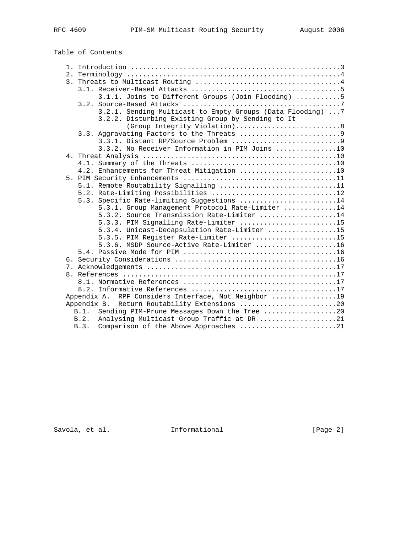Table of Contents

|  | 3.1.1. Joins to Different Groups (Join Flooding) 5         |
|--|------------------------------------------------------------|
|  |                                                            |
|  | 3.2.1. Sending Multicast to Empty Groups (Data Flooding) 7 |
|  | 3.2.2. Disturbing Existing Group by Sending to It          |
|  | (Group Integrity Violation)8                               |
|  |                                                            |
|  |                                                            |
|  | 3.3.2. No Receiver Information in PIM Joins 10             |
|  |                                                            |
|  |                                                            |
|  | 4.2. Enhancements for Threat Mitigation 10                 |
|  |                                                            |
|  | 5.1. Remote Routability Signalling 11                      |
|  | 5.2. Rate-Limiting Possibilities 12                        |
|  | 5.3. Specific Rate-limiting Suggestions 14                 |
|  | 5.3.1. Group Management Protocol Rate-Limiter 14           |
|  | 5.3.2. Source Transmission Rate-Limiter 14                 |
|  | 5.3.3. PIM Signalling Rate-Limiter 15                      |
|  | 5.3.4. Unicast-Decapsulation Rate-Limiter 15               |
|  | 5.3.5. PIM Register Rate-Limiter 15                        |
|  | 5.3.6. MSDP Source-Active Rate-Limiter 16                  |
|  |                                                            |
|  |                                                            |
|  |                                                            |
|  |                                                            |
|  |                                                            |
|  |                                                            |
|  | Appendix A. RPF Considers Interface, Not Neighbor 19       |
|  | Appendix B. Return Routability Extensions 20               |
|  | B.1.<br>Sending PIM-Prune Messages Down the Tree 20        |
|  | Analysing Multicast Group Traffic at DR 21<br>B.2.         |
|  | Comparison of the Above Approaches 21<br>B.3.              |
|  |                                                            |

Savola, et al. 1nformational 1999 [Page 2]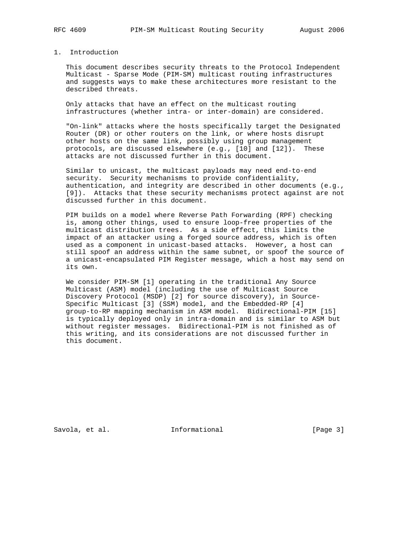# 1. Introduction

 This document describes security threats to the Protocol Independent Multicast - Sparse Mode (PIM-SM) multicast routing infrastructures and suggests ways to make these architectures more resistant to the described threats.

 Only attacks that have an effect on the multicast routing infrastructures (whether intra- or inter-domain) are considered.

 "On-link" attacks where the hosts specifically target the Designated Router (DR) or other routers on the link, or where hosts disrupt other hosts on the same link, possibly using group management protocols, are discussed elsewhere (e.g., [10] and [12]). These attacks are not discussed further in this document.

 Similar to unicast, the multicast payloads may need end-to-end security. Security mechanisms to provide confidentiality, authentication, and integrity are described in other documents (e.g., [9]). Attacks that these security mechanisms protect against are not discussed further in this document.

 PIM builds on a model where Reverse Path Forwarding (RPF) checking is, among other things, used to ensure loop-free properties of the multicast distribution trees. As a side effect, this limits the impact of an attacker using a forged source address, which is often used as a component in unicast-based attacks. However, a host can still spoof an address within the same subnet, or spoof the source of a unicast-encapsulated PIM Register message, which a host may send on its own.

 We consider PIM-SM [1] operating in the traditional Any Source Multicast (ASM) model (including the use of Multicast Source Discovery Protocol (MSDP) [2] for source discovery), in Source- Specific Multicast [3] (SSM) model, and the Embedded-RP [4] group-to-RP mapping mechanism in ASM model. Bidirectional-PIM [15] is typically deployed only in intra-domain and is similar to ASM but without register messages. Bidirectional-PIM is not finished as of this writing, and its considerations are not discussed further in this document.

Savola, et al. 1nformational 1999 [Page 3]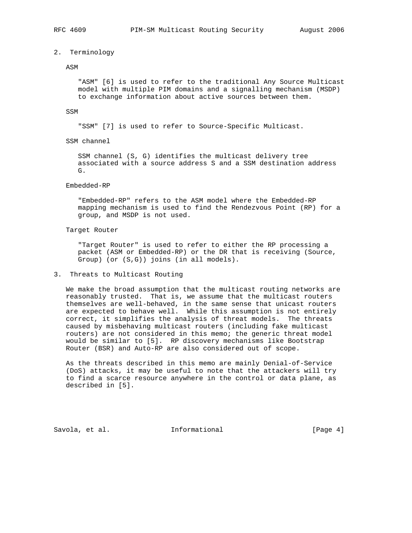## 2. Terminology

#### ASM

 "ASM" [6] is used to refer to the traditional Any Source Multicast model with multiple PIM domains and a signalling mechanism (MSDP) to exchange information about active sources between them.

### SSM

"SSM" [7] is used to refer to Source-Specific Multicast.

SSM channel

 SSM channel (S, G) identifies the multicast delivery tree associated with a source address S and a SSM destination address G.

## Embedded-RP

 "Embedded-RP" refers to the ASM model where the Embedded-RP mapping mechanism is used to find the Rendezvous Point (RP) for a group, and MSDP is not used.

## Target Router

 "Target Router" is used to refer to either the RP processing a packet (ASM or Embedded-RP) or the DR that is receiving (Source, Group) (or (S,G)) joins (in all models).

## 3. Threats to Multicast Routing

 We make the broad assumption that the multicast routing networks are reasonably trusted. That is, we assume that the multicast routers themselves are well-behaved, in the same sense that unicast routers are expected to behave well. While this assumption is not entirely correct, it simplifies the analysis of threat models. The threats caused by misbehaving multicast routers (including fake multicast routers) are not considered in this memo; the generic threat model would be similar to [5]. RP discovery mechanisms like Bootstrap Router (BSR) and Auto-RP are also considered out of scope.

 As the threats described in this memo are mainly Denial-of-Service (DoS) attacks, it may be useful to note that the attackers will try to find a scarce resource anywhere in the control or data plane, as described in [5].

Savola, et al. 1nformational (Page 4)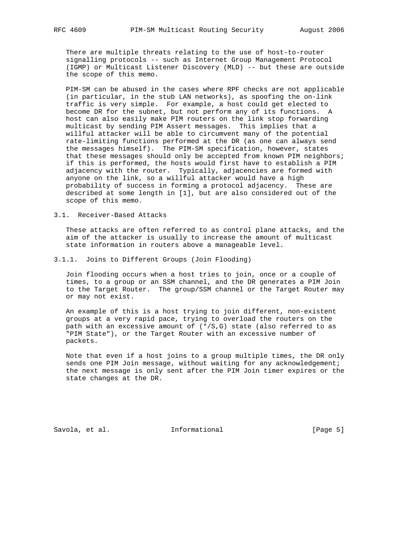There are multiple threats relating to the use of host-to-router signalling protocols -- such as Internet Group Management Protocol (IGMP) or Multicast Listener Discovery (MLD) -- but these are outside the scope of this memo.

 PIM-SM can be abused in the cases where RPF checks are not applicable (in particular, in the stub LAN networks), as spoofing the on-link traffic is very simple. For example, a host could get elected to become DR for the subnet, but not perform any of its functions. A host can also easily make PIM routers on the link stop forwarding multicast by sending PIM Assert messages. This implies that a willful attacker will be able to circumvent many of the potential rate-limiting functions performed at the DR (as one can always send the messages himself). The PIM-SM specification, however, states that these messages should only be accepted from known PIM neighbors; if this is performed, the hosts would first have to establish a PIM adjacency with the router. Typically, adjacencies are formed with anyone on the link, so a willful attacker would have a high probability of success in forming a protocol adjacency. These are described at some length in [1], but are also considered out of the scope of this memo.

3.1. Receiver-Based Attacks

 These attacks are often referred to as control plane attacks, and the aim of the attacker is usually to increase the amount of multicast state information in routers above a manageable level.

3.1.1. Joins to Different Groups (Join Flooding)

 Join flooding occurs when a host tries to join, once or a couple of times, to a group or an SSM channel, and the DR generates a PIM Join to the Target Router. The group/SSM channel or the Target Router may or may not exist.

 An example of this is a host trying to join different, non-existent groups at a very rapid pace, trying to overload the routers on the path with an excessive amount of  $(*/S, G)$  state (also referred to as "PIM State"), or the Target Router with an excessive number of packets.

 Note that even if a host joins to a group multiple times, the DR only sends one PIM Join message, without waiting for any acknowledgement; the next message is only sent after the PIM Join timer expires or the state changes at the DR.

Savola, et al. 1nformational (Page 5)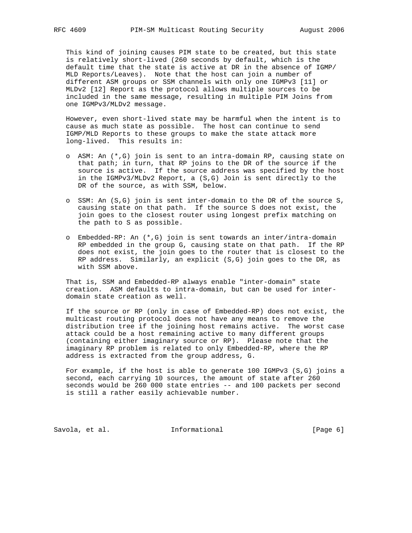This kind of joining causes PIM state to be created, but this state is relatively short-lived (260 seconds by default, which is the default time that the state is active at DR in the absence of IGMP/ MLD Reports/Leaves). Note that the host can join a number of different ASM groups or SSM channels with only one IGMPv3 [11] or MLDv2 [12] Report as the protocol allows multiple sources to be included in the same message, resulting in multiple PIM Joins from one IGMPv3/MLDv2 message.

 However, even short-lived state may be harmful when the intent is to cause as much state as possible. The host can continue to send IGMP/MLD Reports to these groups to make the state attack more long-lived. This results in:

- o ASM: An (\*,G) join is sent to an intra-domain RP, causing state on that path; in turn, that RP joins to the DR of the source if the source is active. If the source address was specified by the host in the IGMPv3/MLDv2 Report, a (S,G) Join is sent directly to the DR of the source, as with SSM, below.
- o SSM: An (S,G) join is sent inter-domain to the DR of the source S, causing state on that path. If the source S does not exist, the join goes to the closest router using longest prefix matching on the path to S as possible.
- o Embedded-RP: An (\*,G) join is sent towards an inter/intra-domain RP embedded in the group G, causing state on that path. If the RP does not exist, the join goes to the router that is closest to the RP address. Similarly, an explicit (S,G) join goes to the DR, as with SSM above.

 That is, SSM and Embedded-RP always enable "inter-domain" state creation. ASM defaults to intra-domain, but can be used for inter domain state creation as well.

 If the source or RP (only in case of Embedded-RP) does not exist, the multicast routing protocol does not have any means to remove the distribution tree if the joining host remains active. The worst case attack could be a host remaining active to many different groups (containing either imaginary source or RP). Please note that the imaginary RP problem is related to only Embedded-RP, where the RP address is extracted from the group address, G.

 For example, if the host is able to generate 100 IGMPv3 (S,G) joins a second, each carrying 10 sources, the amount of state after 260 seconds would be 260 000 state entries -- and 100 packets per second is still a rather easily achievable number.

Savola, et al. 1nformational 1999 [Page 6]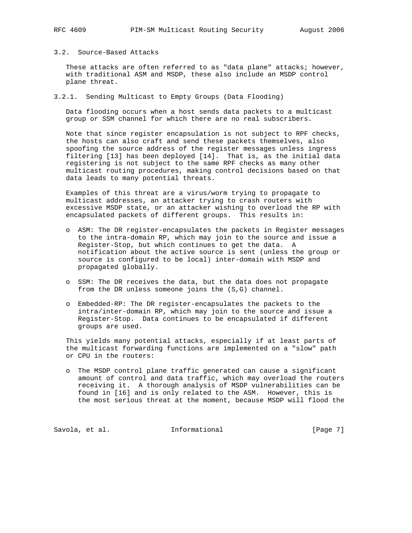# 3.2. Source-Based Attacks

These attacks are often referred to as "data plane" attacks; however, with traditional ASM and MSDP, these also include an MSDP control plane threat.

3.2.1. Sending Multicast to Empty Groups (Data Flooding)

 Data flooding occurs when a host sends data packets to a multicast group or SSM channel for which there are no real subscribers.

 Note that since register encapsulation is not subject to RPF checks, the hosts can also craft and send these packets themselves, also spoofing the source address of the register messages unless ingress filtering [13] has been deployed [14]. That is, as the initial data registering is not subject to the same RPF checks as many other multicast routing procedures, making control decisions based on that data leads to many potential threats.

 Examples of this threat are a virus/worm trying to propagate to multicast addresses, an attacker trying to crash routers with excessive MSDP state, or an attacker wishing to overload the RP with encapsulated packets of different groups. This results in:

- o ASM: The DR register-encapsulates the packets in Register messages to the intra-domain RP, which may join to the source and issue a Register-Stop, but which continues to get the data. A notification about the active source is sent (unless the group or source is configured to be local) inter-domain with MSDP and propagated globally.
- o SSM: The DR receives the data, but the data does not propagate from the DR unless someone joins the (S,G) channel.
- o Embedded-RP: The DR register-encapsulates the packets to the intra/inter-domain RP, which may join to the source and issue a Register-Stop. Data continues to be encapsulated if different groups are used.

 This yields many potential attacks, especially if at least parts of the multicast forwarding functions are implemented on a "slow" path or CPU in the routers:

 o The MSDP control plane traffic generated can cause a significant amount of control and data traffic, which may overload the routers receiving it. A thorough analysis of MSDP vulnerabilities can be found in [16] and is only related to the ASM. However, this is the most serious threat at the moment, because MSDP will flood the

Savola, et al. 1nformational 1999 [Page 7]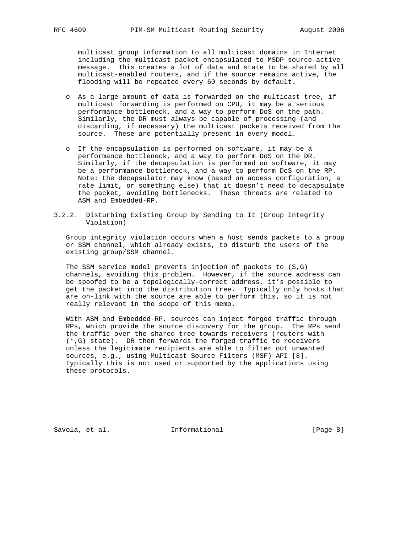multicast group information to all multicast domains in Internet including the multicast packet encapsulated to MSDP source-active message. This creates a lot of data and state to be shared by all multicast-enabled routers, and if the source remains active, the flooding will be repeated every 60 seconds by default.

- o As a large amount of data is forwarded on the multicast tree, if multicast forwarding is performed on CPU, it may be a serious performance bottleneck, and a way to perform DoS on the path. Similarly, the DR must always be capable of processing (and discarding, if necessary) the multicast packets received from the source. These are potentially present in every model.
- o If the encapsulation is performed on software, it may be a performance bottleneck, and a way to perform DoS on the DR. Similarly, if the decapsulation is performed on software, it may be a performance bottleneck, and a way to perform DoS on the RP. Note: the decapsulator may know (based on access configuration, a rate limit, or something else) that it doesn't need to decapsulate the packet, avoiding bottlenecks. These threats are related to ASM and Embedded-RP.
- 3.2.2. Disturbing Existing Group by Sending to It (Group Integrity Violation)

 Group integrity violation occurs when a host sends packets to a group or SSM channel, which already exists, to disturb the users of the existing group/SSM channel.

 The SSM service model prevents injection of packets to (S,G) channels, avoiding this problem. However, if the source address can be spoofed to be a topologically-correct address, it's possible to get the packet into the distribution tree. Typically only hosts that are on-link with the source are able to perform this, so it is not really relevant in the scope of this memo.

 With ASM and Embedded-RP, sources can inject forged traffic through RPs, which provide the source discovery for the group. The RPs send the traffic over the shared tree towards receivers (routers with (\*,G) state). DR then forwards the forged traffic to receivers unless the legitimate recipients are able to filter out unwanted sources, e.g., using Multicast Source Filters (MSF) API [8]. Typically this is not used or supported by the applications using these protocols.

Savola, et al. 1nformational 1999 [Page 8]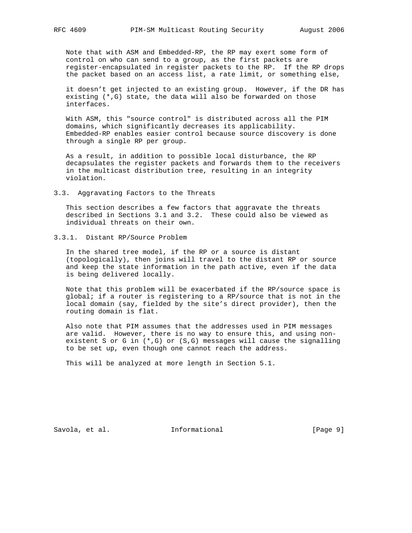Note that with ASM and Embedded-RP, the RP may exert some form of control on who can send to a group, as the first packets are register-encapsulated in register packets to the RP. If the RP drops the packet based on an access list, a rate limit, or something else,

 it doesn't get injected to an existing group. However, if the DR has existing (\*,G) state, the data will also be forwarded on those interfaces.

 With ASM, this "source control" is distributed across all the PIM domains, which significantly decreases its applicability. Embedded-RP enables easier control because source discovery is done through a single RP per group.

 As a result, in addition to possible local disturbance, the RP decapsulates the register packets and forwards them to the receivers in the multicast distribution tree, resulting in an integrity violation.

3.3. Aggravating Factors to the Threats

 This section describes a few factors that aggravate the threats described in Sections 3.1 and 3.2. These could also be viewed as individual threats on their own.

3.3.1. Distant RP/Source Problem

 In the shared tree model, if the RP or a source is distant (topologically), then joins will travel to the distant RP or source and keep the state information in the path active, even if the data is being delivered locally.

 Note that this problem will be exacerbated if the RP/source space is global; if a router is registering to a RP/source that is not in the local domain (say, fielded by the site's direct provider), then the routing domain is flat.

 Also note that PIM assumes that the addresses used in PIM messages are valid. However, there is no way to ensure this, and using non existent S or G in (\*,G) or (S,G) messages will cause the signalling to be set up, even though one cannot reach the address.

This will be analyzed at more length in Section 5.1.

Savola, et al. 1nformational 1999 [Page 9]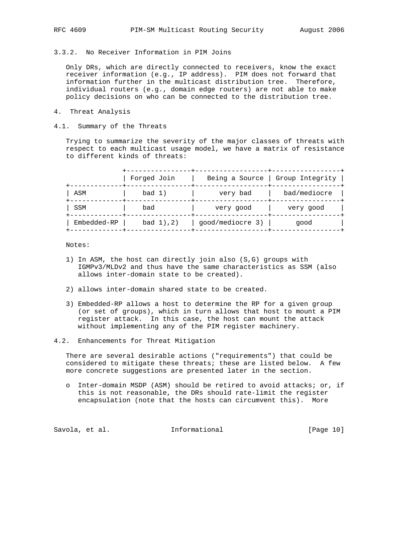# 3.3.2. No Receiver Information in PIM Joins

 Only DRs, which are directly connected to receivers, know the exact receiver information (e.g., IP address). PIM does not forward that information further in the multicast distribution tree. Therefore, individual routers (e.g., domain edge routers) are not able to make policy decisions on who can be connected to the distribution tree.

- 4. Threat Analysis
- 4.1. Summary of the Threats

 Trying to summarize the severity of the major classes of threats with respect to each multicast usage model, we have a matrix of resistance to different kinds of threats:

|             | Forged Join | Being a Source   | Group Integrity |
|-------------|-------------|------------------|-----------------|
| ASM         | bad 1)      | very bad         | bad/mediocre    |
| SSM         | bad         | very good        | very good       |
| Embedded-RP | bad 1), 2)  | qood/mediocre 3) | qood            |

Notes:

- 1) In ASM, the host can directly join also (S,G) groups with IGMPv3/MLDv2 and thus have the same characteristics as SSM (also allows inter-domain state to be created).
- 2) allows inter-domain shared state to be created.
- 3) Embedded-RP allows a host to determine the RP for a given group (or set of groups), which in turn allows that host to mount a PIM register attack. In this case, the host can mount the attack without implementing any of the PIM register machinery.
- 4.2. Enhancements for Threat Mitigation

 There are several desirable actions ("requirements") that could be considered to mitigate these threats; these are listed below. A few more concrete suggestions are presented later in the section.

 o Inter-domain MSDP (ASM) should be retired to avoid attacks; or, if this is not reasonable, the DRs should rate-limit the register encapsulation (note that the hosts can circumvent this). More

Savola, et al. 1nformational 1999 [Page 10]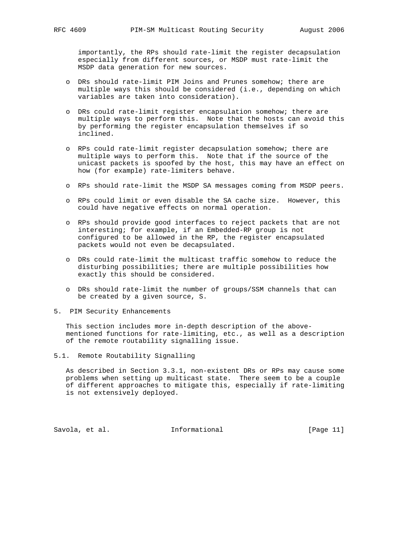importantly, the RPs should rate-limit the register decapsulation especially from different sources, or MSDP must rate-limit the MSDP data generation for new sources.

- o DRs should rate-limit PIM Joins and Prunes somehow; there are multiple ways this should be considered (i.e., depending on which variables are taken into consideration).
- o DRs could rate-limit register encapsulation somehow; there are multiple ways to perform this. Note that the hosts can avoid this by performing the register encapsulation themselves if so inclined.
- o RPs could rate-limit register decapsulation somehow; there are multiple ways to perform this. Note that if the source of the unicast packets is spoofed by the host, this may have an effect on how (for example) rate-limiters behave.
- o RPs should rate-limit the MSDP SA messages coming from MSDP peers.
- o RPs could limit or even disable the SA cache size. However, this could have negative effects on normal operation.
- o RPs should provide good interfaces to reject packets that are not interesting; for example, if an Embedded-RP group is not configured to be allowed in the RP, the register encapsulated packets would not even be decapsulated.
- o DRs could rate-limit the multicast traffic somehow to reduce the disturbing possibilities; there are multiple possibilities how exactly this should be considered.
- o DRs should rate-limit the number of groups/SSM channels that can be created by a given source, S.
- 5. PIM Security Enhancements

 This section includes more in-depth description of the above mentioned functions for rate-limiting, etc., as well as a description of the remote routability signalling issue.

5.1. Remote Routability Signalling

 As described in Section 3.3.1, non-existent DRs or RPs may cause some problems when setting up multicast state. There seem to be a couple of different approaches to mitigate this, especially if rate-limiting is not extensively deployed.

Savola, et al. 10 Informational [Page 11]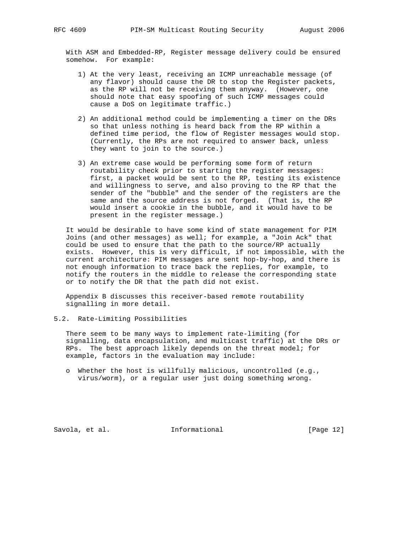With ASM and Embedded-RP, Register message delivery could be ensured somehow. For example:

- 1) At the very least, receiving an ICMP unreachable message (of any flavor) should cause the DR to stop the Register packets, as the RP will not be receiving them anyway. (However, one should note that easy spoofing of such ICMP messages could cause a DoS on legitimate traffic.)
- 2) An additional method could be implementing a timer on the DRs so that unless nothing is heard back from the RP within a defined time period, the flow of Register messages would stop. (Currently, the RPs are not required to answer back, unless they want to join to the source.)
- 3) An extreme case would be performing some form of return routability check prior to starting the register messages: first, a packet would be sent to the RP, testing its existence and willingness to serve, and also proving to the RP that the sender of the "bubble" and the sender of the registers are the same and the source address is not forged. (That is, the RP would insert a cookie in the bubble, and it would have to be present in the register message.)

 It would be desirable to have some kind of state management for PIM Joins (and other messages) as well; for example, a "Join Ack" that could be used to ensure that the path to the source/RP actually exists. However, this is very difficult, if not impossible, with the current architecture: PIM messages are sent hop-by-hop, and there is not enough information to trace back the replies, for example, to notify the routers in the middle to release the corresponding state or to notify the DR that the path did not exist.

 Appendix B discusses this receiver-based remote routability signalling in more detail.

5.2. Rate-Limiting Possibilities

 There seem to be many ways to implement rate-limiting (for signalling, data encapsulation, and multicast traffic) at the DRs or RPs. The best approach likely depends on the threat model; for example, factors in the evaluation may include:

 o Whether the host is willfully malicious, uncontrolled (e.g., virus/worm), or a regular user just doing something wrong.

Savola, et al. **Informational** [Page 12]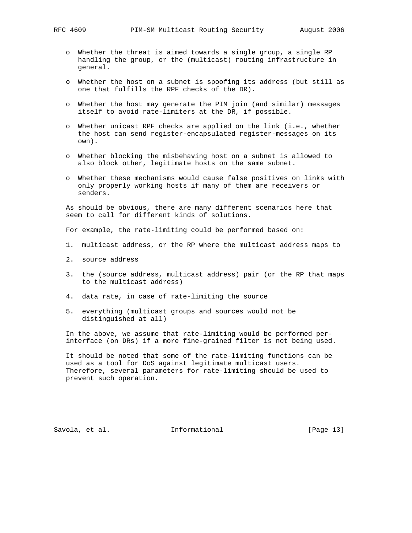- o Whether the threat is aimed towards a single group, a single RP handling the group, or the (multicast) routing infrastructure in general.
- o Whether the host on a subnet is spoofing its address (but still as one that fulfills the RPF checks of the DR).
- o Whether the host may generate the PIM join (and similar) messages itself to avoid rate-limiters at the DR, if possible.
- o Whether unicast RPF checks are applied on the link (i.e., whether the host can send register-encapsulated register-messages on its own).
- o Whether blocking the misbehaving host on a subnet is allowed to also block other, legitimate hosts on the same subnet.
- o Whether these mechanisms would cause false positives on links with only properly working hosts if many of them are receivers or senders.

 As should be obvious, there are many different scenarios here that seem to call for different kinds of solutions.

For example, the rate-limiting could be performed based on:

- 1. multicast address, or the RP where the multicast address maps to
- 2. source address
- 3. the (source address, multicast address) pair (or the RP that maps to the multicast address)
- 4. data rate, in case of rate-limiting the source
- 5. everything (multicast groups and sources would not be distinguished at all)

 In the above, we assume that rate-limiting would be performed per interface (on DRs) if a more fine-grained filter is not being used.

 It should be noted that some of the rate-limiting functions can be used as a tool for DoS against legitimate multicast users. Therefore, several parameters for rate-limiting should be used to prevent such operation.

Savola, et al. **Informational** [Page 13]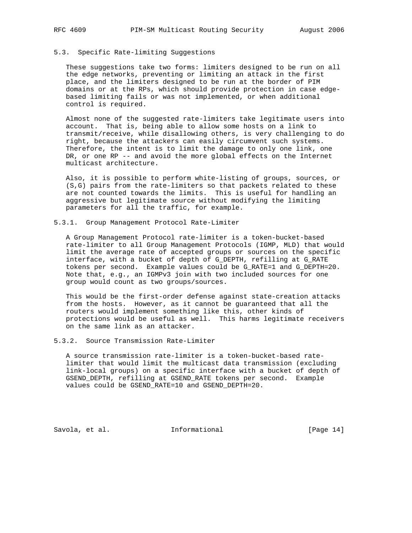## 5.3. Specific Rate-limiting Suggestions

 These suggestions take two forms: limiters designed to be run on all the edge networks, preventing or limiting an attack in the first place, and the limiters designed to be run at the border of PIM domains or at the RPs, which should provide protection in case edge based limiting fails or was not implemented, or when additional control is required.

 Almost none of the suggested rate-limiters take legitimate users into account. That is, being able to allow some hosts on a link to transmit/receive, while disallowing others, is very challenging to do right, because the attackers can easily circumvent such systems. Therefore, the intent is to limit the damage to only one link, one DR, or one RP -- and avoid the more global effects on the Internet multicast architecture.

 Also, it is possible to perform white-listing of groups, sources, or (S,G) pairs from the rate-limiters so that packets related to these are not counted towards the limits. This is useful for handling an aggressive but legitimate source without modifying the limiting parameters for all the traffic, for example.

5.3.1. Group Management Protocol Rate-Limiter

 A Group Management Protocol rate-limiter is a token-bucket-based rate-limiter to all Group Management Protocols (IGMP, MLD) that would limit the average rate of accepted groups or sources on the specific interface, with a bucket of depth of G\_DEPTH, refilling at G\_RATE tokens per second. Example values could be G\_RATE=1 and G\_DEPTH=20. Note that, e.g., an IGMPv3 join with two included sources for one group would count as two groups/sources.

 This would be the first-order defense against state-creation attacks from the hosts. However, as it cannot be guaranteed that all the routers would implement something like this, other kinds of protections would be useful as well. This harms legitimate receivers on the same link as an attacker.

5.3.2. Source Transmission Rate-Limiter

 A source transmission rate-limiter is a token-bucket-based rate limiter that would limit the multicast data transmission (excluding link-local groups) on a specific interface with a bucket of depth of GSEND\_DEPTH, refilling at GSEND\_RATE tokens per second. Example values could be GSEND\_RATE=10 and GSEND\_DEPTH=20.

Savola, et al. 1nformational [Page 14]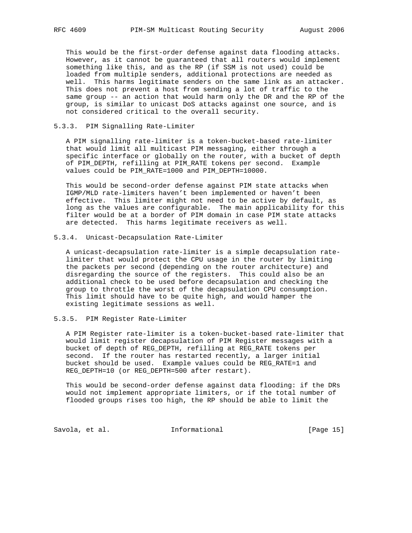This would be the first-order defense against data flooding attacks. However, as it cannot be guaranteed that all routers would implement something like this, and as the RP (if SSM is not used) could be loaded from multiple senders, additional protections are needed as well. This harms legitimate senders on the same link as an attacker. This does not prevent a host from sending a lot of traffic to the same group -- an action that would harm only the DR and the RP of the group, is similar to unicast DoS attacks against one source, and is not considered critical to the overall security.

## 5.3.3. PIM Signalling Rate-Limiter

 A PIM signalling rate-limiter is a token-bucket-based rate-limiter that would limit all multicast PIM messaging, either through a specific interface or globally on the router, with a bucket of depth of PIM DEPTH, refilling at PIM RATE tokens per second. Example values could be PIM\_RATE=1000 and PIM\_DEPTH=10000.

 This would be second-order defense against PIM state attacks when IGMP/MLD rate-limiters haven't been implemented or haven't been effective. This limiter might not need to be active by default, as long as the values are configurable. The main applicability for this filter would be at a border of PIM domain in case PIM state attacks are detected. This harms legitimate receivers as well.

## 5.3.4. Unicast-Decapsulation Rate-Limiter

 A unicast-decapsulation rate-limiter is a simple decapsulation rate limiter that would protect the CPU usage in the router by limiting the packets per second (depending on the router architecture) and disregarding the source of the registers. This could also be an additional check to be used before decapsulation and checking the group to throttle the worst of the decapsulation CPU consumption. This limit should have to be quite high, and would hamper the existing legitimate sessions as well.

## 5.3.5. PIM Register Rate-Limiter

 A PIM Register rate-limiter is a token-bucket-based rate-limiter that would limit register decapsulation of PIM Register messages with a bucket of depth of REG\_DEPTH, refilling at REG\_RATE tokens per second. If the router has restarted recently, a larger initial bucket should be used. Example values could be REG\_RATE=1 and REG\_DEPTH=10 (or REG\_DEPTH=500 after restart).

 This would be second-order defense against data flooding: if the DRs would not implement appropriate limiters, or if the total number of flooded groups rises too high, the RP should be able to limit the

Savola, et al. 1nformational 1999 [Page 15]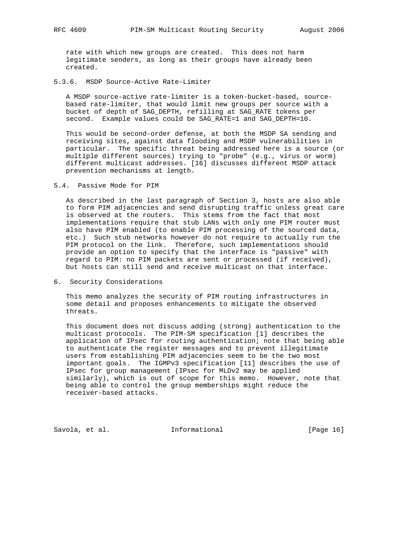rate with which new groups are created. This does not harm legitimate senders, as long as their groups have already been created.

5.3.6. MSDP Source-Active Rate-Limiter

 A MSDP source-active rate-limiter is a token-bucket-based, source based rate-limiter, that would limit new groups per source with a bucket of depth of SAG\_DEPTH, refilling at SAG\_RATE tokens per second. Example values could be SAG\_RATE=1 and SAG\_DEPTH=10.

 This would be second-order defense, at both the MSDP SA sending and receiving sites, against data flooding and MSDP vulnerabilities in particular. The specific threat being addressed here is a source (or multiple different sources) trying to "probe" (e.g., virus or worm) different multicast addresses. [16] discusses different MSDP attack prevention mechanisms at length.

## 5.4. Passive Mode for PIM

 As described in the last paragraph of Section 3, hosts are also able to form PIM adjacencies and send disrupting traffic unless great care is observed at the routers. This stems from the fact that most implementations require that stub LANs with only one PIM router must also have PIM enabled (to enable PIM processing of the sourced data, etc.) Such stub networks however do not require to actually run the PIM protocol on the link. Therefore, such implementations should provide an option to specify that the interface is "passive" with regard to PIM: no PIM packets are sent or processed (if received), but hosts can still send and receive multicast on that interface.

6. Security Considerations

 This memo analyzes the security of PIM routing infrastructures in some detail and proposes enhancements to mitigate the observed threats.

 This document does not discuss adding (strong) authentication to the multicast protocols. The PIM-SM specification [1] describes the application of IPsec for routing authentication; note that being able to authenticate the register messages and to prevent illegitimate users from establishing PIM adjacencies seem to be the two most important goals. The IGMPv3 specification [11] describes the use of IPsec for group management (IPsec for MLDv2 may be applied similarly), which is out of scope for this memo. However, note that being able to control the group memberships might reduce the receiver-based attacks.

Savola, et al. 1nformational [Page 16]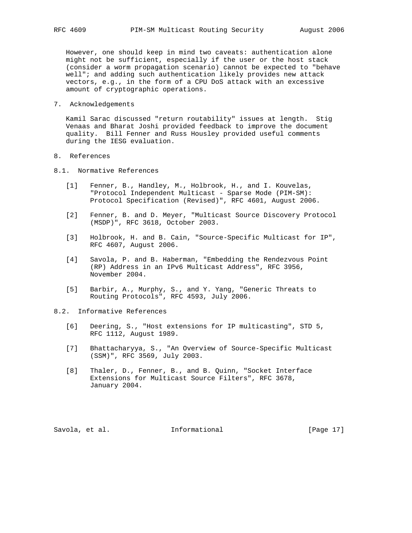However, one should keep in mind two caveats: authentication alone might not be sufficient, especially if the user or the host stack (consider a worm propagation scenario) cannot be expected to "behave well"; and adding such authentication likely provides new attack vectors, e.g., in the form of a CPU DoS attack with an excessive amount of cryptographic operations.

7. Acknowledgements

 Kamil Sarac discussed "return routability" issues at length. Stig Venaas and Bharat Joshi provided feedback to improve the document quality. Bill Fenner and Russ Housley provided useful comments during the IESG evaluation.

- 8. References
- 8.1. Normative References
	- [1] Fenner, B., Handley, M., Holbrook, H., and I. Kouvelas, "Protocol Independent Multicast - Sparse Mode (PIM-SM): Protocol Specification (Revised)", RFC 4601, August 2006.
	- [2] Fenner, B. and D. Meyer, "Multicast Source Discovery Protocol (MSDP)", RFC 3618, October 2003.
	- [3] Holbrook, H. and B. Cain, "Source-Specific Multicast for IP", RFC 4607, August 2006.
	- [4] Savola, P. and B. Haberman, "Embedding the Rendezvous Point (RP) Address in an IPv6 Multicast Address", RFC 3956, November 2004.
	- [5] Barbir, A., Murphy, S., and Y. Yang, "Generic Threats to Routing Protocols", RFC 4593, July 2006.

## 8.2. Informative References

- [6] Deering, S., "Host extensions for IP multicasting", STD 5, RFC 1112, August 1989.
- [7] Bhattacharyya, S., "An Overview of Source-Specific Multicast (SSM)", RFC 3569, July 2003.
- [8] Thaler, D., Fenner, B., and B. Quinn, "Socket Interface Extensions for Multicast Source Filters", RFC 3678, January 2004.

Savola, et al. 1nformational [Page 17]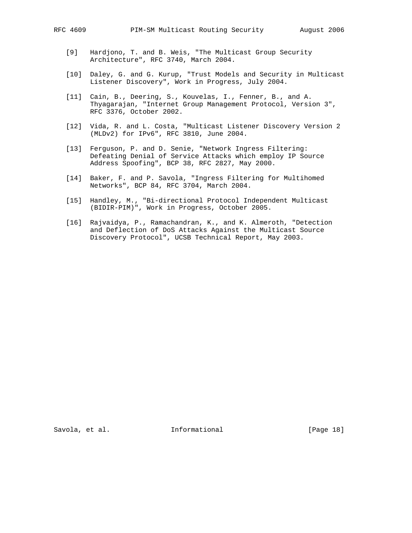- [9] Hardjono, T. and B. Weis, "The Multicast Group Security Architecture", RFC 3740, March 2004.
- [10] Daley, G. and G. Kurup, "Trust Models and Security in Multicast Listener Discovery", Work in Progress, July 2004.
- [11] Cain, B., Deering, S., Kouvelas, I., Fenner, B., and A. Thyagarajan, "Internet Group Management Protocol, Version 3", RFC 3376, October 2002.
- [12] Vida, R. and L. Costa, "Multicast Listener Discovery Version 2 (MLDv2) for IPv6", RFC 3810, June 2004.
- [13] Ferguson, P. and D. Senie, "Network Ingress Filtering: Defeating Denial of Service Attacks which employ IP Source Address Spoofing", BCP 38, RFC 2827, May 2000.
- [14] Baker, F. and P. Savola, "Ingress Filtering for Multihomed Networks", BCP 84, RFC 3704, March 2004.
- [15] Handley, M., "Bi-directional Protocol Independent Multicast (BIDIR-PIM)", Work in Progress, October 2005.
- [16] Rajvaidya, P., Ramachandran, K., and K. Almeroth, "Detection and Deflection of DoS Attacks Against the Multicast Source Discovery Protocol", UCSB Technical Report, May 2003.

Savola, et al. 1nformational [Page 18]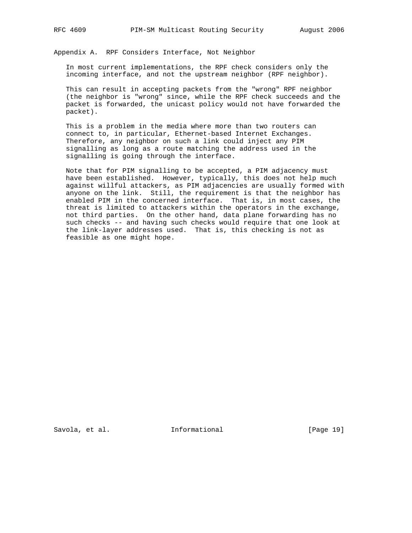Appendix A. RPF Considers Interface, Not Neighbor

 In most current implementations, the RPF check considers only the incoming interface, and not the upstream neighbor (RPF neighbor).

 This can result in accepting packets from the "wrong" RPF neighbor (the neighbor is "wrong" since, while the RPF check succeeds and the packet is forwarded, the unicast policy would not have forwarded the packet).

 This is a problem in the media where more than two routers can connect to, in particular, Ethernet-based Internet Exchanges. Therefore, any neighbor on such a link could inject any PIM signalling as long as a route matching the address used in the signalling is going through the interface.

 Note that for PIM signalling to be accepted, a PIM adjacency must have been established. However, typically, this does not help much against willful attackers, as PIM adjacencies are usually formed with anyone on the link. Still, the requirement is that the neighbor has enabled PIM in the concerned interface. That is, in most cases, the threat is limited to attackers within the operators in the exchange, not third parties. On the other hand, data plane forwarding has no such checks -- and having such checks would require that one look at the link-layer addresses used. That is, this checking is not as feasible as one might hope.

Savola, et al. 1nformational [Page 19]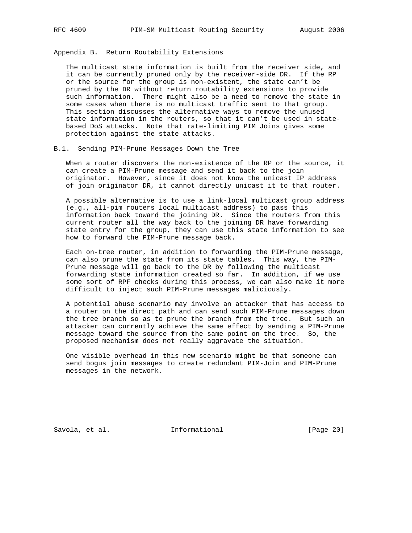Appendix B. Return Routability Extensions

 The multicast state information is built from the receiver side, and it can be currently pruned only by the receiver-side DR. If the RP or the source for the group is non-existent, the state can't be pruned by the DR without return routability extensions to provide such information. There might also be a need to remove the state in some cases when there is no multicast traffic sent to that group. This section discusses the alternative ways to remove the unused state information in the routers, so that it can't be used in state based DoS attacks. Note that rate-limiting PIM Joins gives some protection against the state attacks.

#### B.1. Sending PIM-Prune Messages Down the Tree

 When a router discovers the non-existence of the RP or the source, it can create a PIM-Prune message and send it back to the join originator. However, since it does not know the unicast IP address of join originator DR, it cannot directly unicast it to that router.

 A possible alternative is to use a link-local multicast group address (e.g., all-pim routers local multicast address) to pass this information back toward the joining DR. Since the routers from this current router all the way back to the joining DR have forwarding state entry for the group, they can use this state information to see how to forward the PIM-Prune message back.

 Each on-tree router, in addition to forwarding the PIM-Prune message, can also prune the state from its state tables. This way, the PIM- Prune message will go back to the DR by following the multicast forwarding state information created so far. In addition, if we use some sort of RPF checks during this process, we can also make it more difficult to inject such PIM-Prune messages maliciously.

 A potential abuse scenario may involve an attacker that has access to a router on the direct path and can send such PIM-Prune messages down the tree branch so as to prune the branch from the tree. But such an attacker can currently achieve the same effect by sending a PIM-Prune message toward the source from the same point on the tree. So, the proposed mechanism does not really aggravate the situation.

 One visible overhead in this new scenario might be that someone can send bogus join messages to create redundant PIM-Join and PIM-Prune messages in the network.

Savola, et al. **Informational** [Page 20]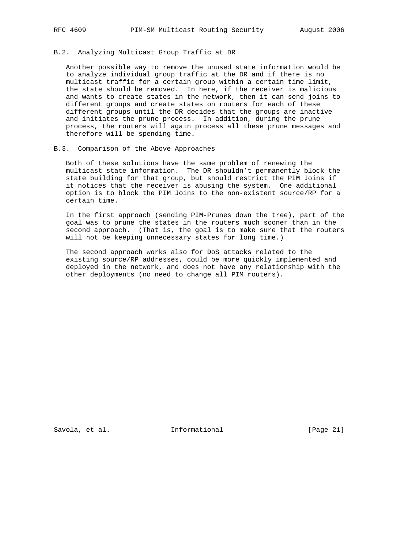## B.2. Analyzing Multicast Group Traffic at DR

 Another possible way to remove the unused state information would be to analyze individual group traffic at the DR and if there is no multicast traffic for a certain group within a certain time limit, the state should be removed. In here, if the receiver is malicious and wants to create states in the network, then it can send joins to different groups and create states on routers for each of these different groups until the DR decides that the groups are inactive and initiates the prune process. In addition, during the prune process, the routers will again process all these prune messages and therefore will be spending time.

## B.3. Comparison of the Above Approaches

 Both of these solutions have the same problem of renewing the multicast state information. The DR shouldn't permanently block the state building for that group, but should restrict the PIM Joins if it notices that the receiver is abusing the system. One additional option is to block the PIM Joins to the non-existent source/RP for a certain time.

 In the first approach (sending PIM-Prunes down the tree), part of the goal was to prune the states in the routers much sooner than in the second approach. (That is, the goal is to make sure that the routers will not be keeping unnecessary states for long time.)

 The second approach works also for DoS attacks related to the existing source/RP addresses, could be more quickly implemented and deployed in the network, and does not have any relationship with the other deployments (no need to change all PIM routers).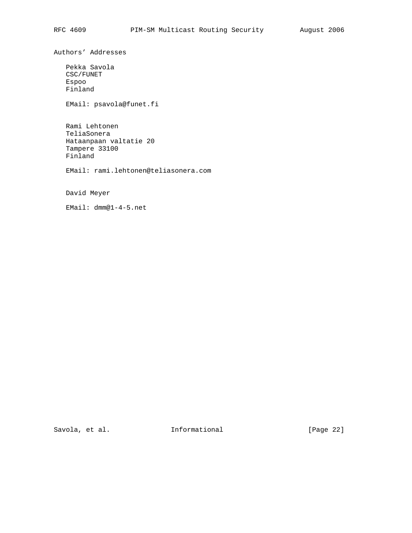Authors' Addresses

 Pekka Savola CSC/FUNET Espoo Finland

EMail: psavola@funet.fi

 Rami Lehtonen TeliaSonera Hataanpaan valtatie 20 Tampere 33100 Finland

EMail: rami.lehtonen@teliasonera.com

David Meyer

EMail: dmm@1-4-5.net

Savola, et al. 1nformational [Page 22]